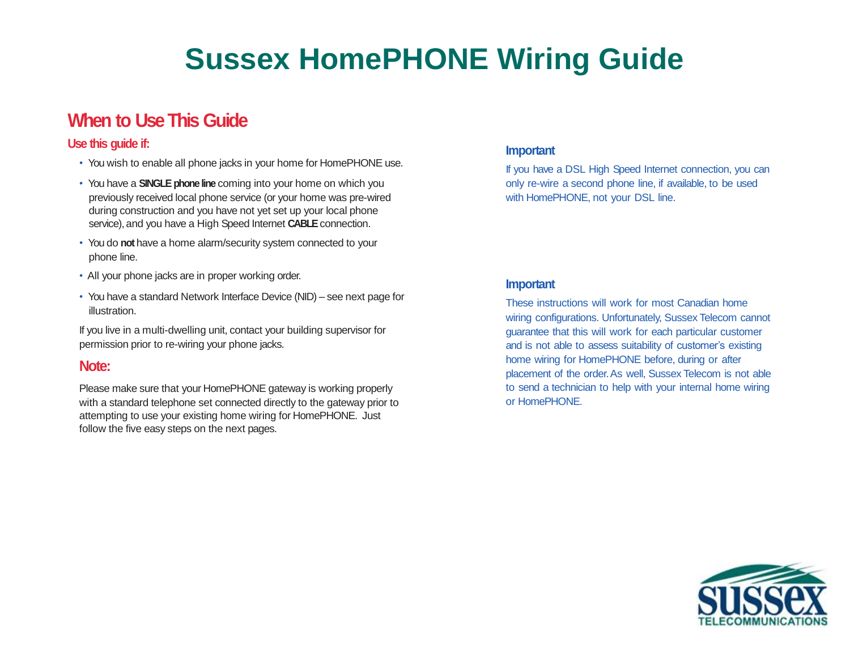# **Sussex HomePHONE Wiring Guide**

# **When to UseThis Guide**

### **Use this guide if:**

- You wish to enable all phone jacks in your home for HomePHONE use.
- You have a **SINGLE phone line** coming into your home on which you previously received local phone service (or your home was pre-wired during construction and you have not yet set up your local phone service), and you have a High Speed Internet **CABLE** connection.
- You do **not** have a home alarm/security system connected to your phone line.
- All your phone jacks are in proper working order.
- You have a standard Network Interface Device (NID) see next page for illustration.

If you live in a multi-dwelling unit, contact your building supervisor for permission prior to re-wiring your phone jacks.

### **Note:**

Please make sure that your HomePHONE gateway is working properly with a standard telephone set connected directly to the gateway prior to attempting to use your existing home wiring for HomePHONE. Just follow the five easy steps on the next pages.

### **Important**

If you have a DSL High Speed Internet connection, you can only re-wire a second phone line, if available, to be used with HomePHONE, not your DSL line.

### **Important**

These instructions will work for most Canadian home wiring configurations. Unfortunately, Sussex Telecom cannot guarantee that this will work for each particular customer and is not able to assess suitability of customer's existing home wiring for HomePHONE before, during or after placement of the order.As well, Sussex Telecom is not able to send a technician to help with your internal home wiring or HomePHONE.

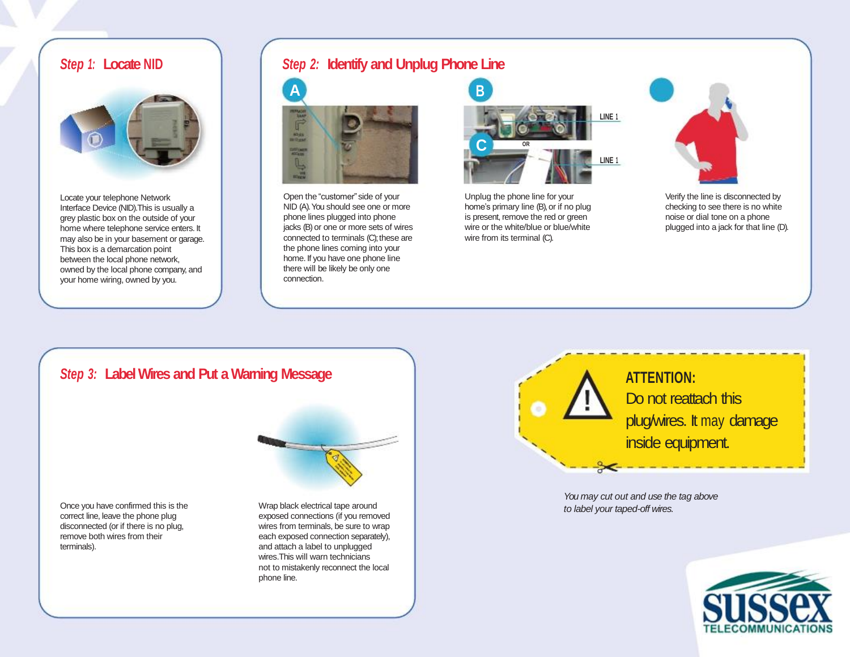

Locate your telephone Network Interface Device (NID).This is usually a grey plastic box on the outside of your home where telephone service enters. It may also be in your basement or garage. This box is a demarcation point between the local phone network, owned by the local phone company, and your home wiring, owned by you.

# *Step 1:* **Locate NID** *Step 2:* **Identify and Unplug Phone Line**



Open the "customer" side of your NID (A). You should see one or more phone lines plugged into phone jacks (B) or one or more sets of wires connected to terminals (C); these are the phone lines coming into your home. If you have one phone line there will be likely be only one connection.



Unplug the phone line for your home's primary line (B), or if no plug is present, remove the red or green wire or the white/blue or blue/white wire from its terminal (C).



Verify the line is disconnected by checking to see there is no white noise or dial tone on a phone plugged into a jack for that line (D).

# **Step 3:** Label Wires and Put a Warning Message **AND ACTENTION:**

Once you have confirmed this is the correct line, leave the phone plug disconnected (or if there is no plug, remove both wires from their terminals).

Wrap black electrical tape around exposed connections (if you removed wires from terminals, be sure to wrap each exposed connection separately), and attach a label to unplugged wires.This will warn technicians not to mistakenly reconnect the local phone line.



*You may cut out and use the tag above to label your taped-off wires.*